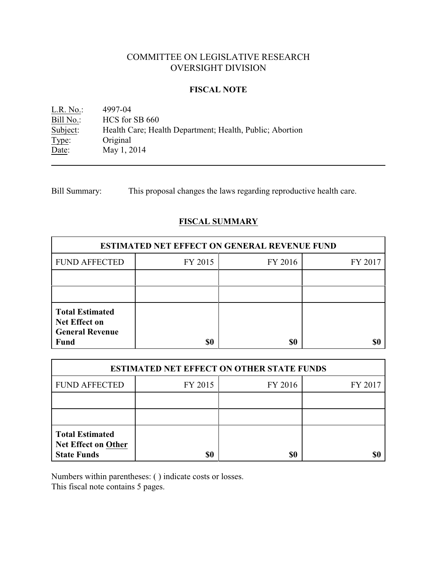# COMMITTEE ON LEGISLATIVE RESEARCH OVERSIGHT DIVISION

#### **FISCAL NOTE**

<u>L.R. No.</u>: 4997-04<br>
<u>Bill No.</u>: HCS for Bill No.: HCS for SB 660<br>Subject: Health Care; Hea Health Care; Health Department; Health, Public; Abortion Type: Original Date: May 1, 2014

Bill Summary: This proposal changes the laws regarding reproductive health care.

## **FISCAL SUMMARY**

| <b>ESTIMATED NET EFFECT ON GENERAL REVENUE FUND</b>                                     |         |         |         |  |
|-----------------------------------------------------------------------------------------|---------|---------|---------|--|
| <b>FUND AFFECTED</b>                                                                    | FY 2015 | FY 2016 | FY 2017 |  |
|                                                                                         |         |         |         |  |
|                                                                                         |         |         |         |  |
| <b>Total Estimated</b><br><b>Net Effect on</b><br><b>General Revenue</b><br><b>Fund</b> | \$0     | \$0     |         |  |

| <b>ESTIMATED NET EFFECT ON OTHER STATE FUNDS</b>                           |         |         |         |  |
|----------------------------------------------------------------------------|---------|---------|---------|--|
| <b>FUND AFFECTED</b>                                                       | FY 2015 | FY 2016 | FY 2017 |  |
|                                                                            |         |         |         |  |
|                                                                            |         |         |         |  |
| <b>Total Estimated</b><br><b>Net Effect on Other</b><br><b>State Funds</b> | \$0     | \$0     |         |  |

Numbers within parentheses: ( ) indicate costs or losses.

This fiscal note contains 5 pages.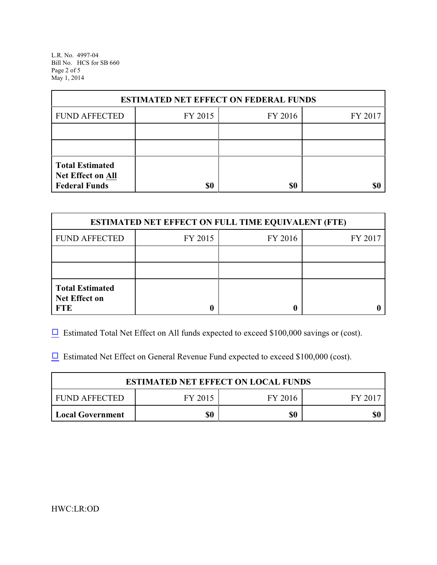L.R. No. 4997-04 Bill No. HCS for SB 660 Page 2 of 5 May 1, 2014

| <b>ESTIMATED NET EFFECT ON FEDERAL FUNDS</b>                        |         |         |         |  |
|---------------------------------------------------------------------|---------|---------|---------|--|
| <b>FUND AFFECTED</b>                                                | FY 2015 | FY 2016 | FY 2017 |  |
|                                                                     |         |         |         |  |
|                                                                     |         |         |         |  |
| <b>Total Estimated</b><br>Net Effect on All<br><b>Federal Funds</b> | \$0     | \$0     |         |  |

| <b>ESTIMATED NET EFFECT ON FULL TIME EQUIVALENT (FTE)</b>    |         |         |         |  |
|--------------------------------------------------------------|---------|---------|---------|--|
| <b>FUND AFFECTED</b>                                         | FY 2015 | FY 2016 | FY 2017 |  |
|                                                              |         |         |         |  |
|                                                              |         |         |         |  |
| <b>Total Estimated</b><br><b>Net Effect on</b><br><b>FTE</b> |         |         |         |  |

 $\Box$  Estimated Total Net Effect on All funds expected to exceed \$100,000 savings or (cost).

 $\Box$  Estimated Net Effect on General Revenue Fund expected to exceed \$100,000 (cost).

| <b>ESTIMATED NET EFFECT ON LOCAL FUNDS</b> |         |         |         |
|--------------------------------------------|---------|---------|---------|
| FUND AFFECTED                              | FY 2015 | FY 2016 | FY 2017 |
| <b>Local Government</b>                    | \$0     | \$0     | \$0     |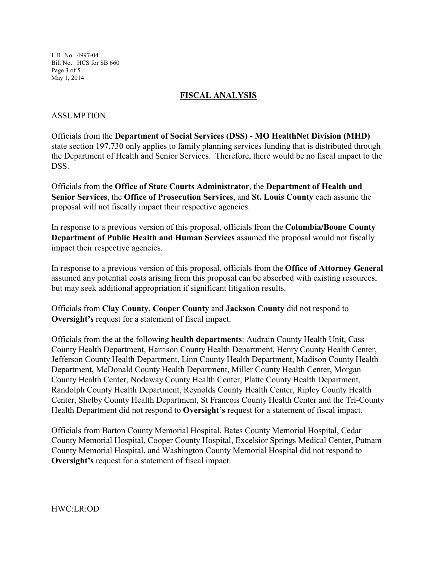L.R. No. 4997-04 Bill No. HCS for SB 660 Page 3 of 5 May 1, 2014

#### **FISCAL ANALYSIS**

#### ASSUMPTION

Officials from the **Department of Social Services (DSS) - MO HealthNet Division (MHD)** state section 197.730 only applies to family planning services funding that is distributed through the Department of Health and Senior Services. Therefore, there would be no fiscal impact to the DSS.

Officials from the **Office of State Courts Administrator**, the **Department of Health and Senior Services**, the **Office of Prosecution Services**, and **St. Louis County** each assume the proposal will not fiscally impact their respective agencies.

In response to a previous version of this proposal, officials from the **Columbia/Boone County Department of Public Health and Human Services** assumed the proposal would not fiscally impact their respective agencies.

In response to a previous version of this proposal, officials from the **Office of Attorney General** assumed any potential costs arising from this proposal can be absorbed with existing resources, but may seek additional appropriation if significant litigation results.

Officials from **Clay County**, **Cooper County** and **Jackson County** did not respond to **Oversight's** request for a statement of fiscal impact.

Officials from the at the following **health departments**: Audrain County Health Unit, Cass County Health Department, Harrison County Health Department, Henry County Health Center, Jefferson County Health Department, Linn County Health Department, Madison County Health Department, McDonald County Health Department, Miller County Health Center, Morgan County Health Center, Nodaway County Health Center, Platte County Health Department, Randolph County Health Department, Reynolds County Health Center, Ripley County Health Center, Shelby County Health Department, St Francois County Health Center and the Tri-County Health Department did not respond to **Oversight's** request for a statement of fiscal impact.

Officials from Barton County Memorial Hospital, Bates County Memorial Hospital, Cedar County Memorial Hospital, Cooper County Hospital, Excelsior Springs Medical Center, Putnam County Memorial Hospital, and Washington County Memorial Hospital did not respond to **Oversight's** request for a statement of fiscal impact.

HWC:LR:OD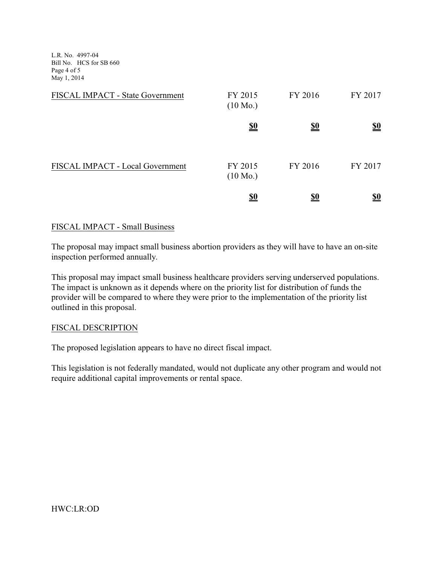L.R. No. 4997-04 Bill No. HCS for SB 660 Page 4 of 5 May 1, 2014

| FISCAL IMPACT - State Government | FY 2015<br>$(10 \text{ Mo.})$ | FY 2016    | FY 2017    |
|----------------------------------|-------------------------------|------------|------------|
|                                  | <u>\$0</u>                    | <u>\$0</u> | <u>\$0</u> |
| FISCAL IMPACT - Local Government | FY 2015<br>$(10 \text{ Mo.})$ | FY 2016    | FY 2017    |
|                                  | <u>\$0</u>                    | <u>\$0</u> | <u>\$0</u> |

### FISCAL IMPACT - Small Business

The proposal may impact small business abortion providers as they will have to have an on-site inspection performed annually.

This proposal may impact small business healthcare providers serving underserved populations. The impact is unknown as it depends where on the priority list for distribution of funds the provider will be compared to where they were prior to the implementation of the priority list outlined in this proposal.

#### FISCAL DESCRIPTION

The proposed legislation appears to have no direct fiscal impact.

This legislation is not federally mandated, would not duplicate any other program and would not require additional capital improvements or rental space.